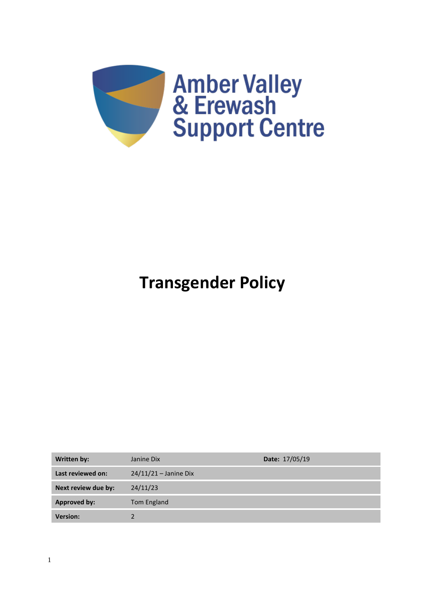

# **Transgender Policy**

| Written by:         | Janine Dix              | <b>Date: 17/05/19</b> |
|---------------------|-------------------------|-----------------------|
| Last reviewed on:   | $24/11/21 -$ Janine Dix |                       |
| Next review due by: | 24/11/23                |                       |
| <b>Approved by:</b> | Tom England             |                       |
| <b>Version:</b>     |                         |                       |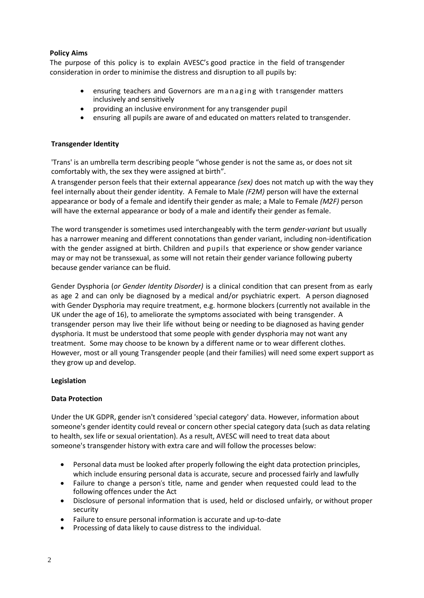# **Policy Aims**

The purpose of this policy is to explain AVESC's good practice in the field of transgender consideration in order to minimise the distress and disruption to all pupils by:

- ensuring teachers and Governors are managing with transgender matters inclusively and sensitively
- providing an inclusive environment for any transgender pupil
- ensuring all pupils are aware of and educated on matters related to transgender.

## **Transgender Identity**

'Trans' is an umbrella term describing people "whose gender is not the same as, or does not sit comfortably with, the sex they were assigned at birth".

A transgender person feels that their external appearance *(sex)* does not match up with the way they feel internally about their gender identity. A Female to Male *(F2M)* person will have the external appearance or body of a female and identify their gender as male; a Male to Female *(M2F)* person will have the external appearance or body of a male and identify their gender as female.

The word transgender is sometimes used interchangeably with the term *gender-variant* but usually has a narrower meaning and different connotations than gender variant, including non-identification with the gender assigned at birth. Children and pupils that experience or show gender variance may or may not be transsexual, as some will not retain their gender variance following puberty because gender variance can be fluid.

Gender Dysphoria (*or Gender Identity Disorder)* is a clinical condition that can present from as early as age 2 and can only be diagnosed by a medical and/or psychiatric expert. A person diagnosed with Gender Dysphoria may require treatment, e.g. hormone blockers (currently not available in the UK under the age of 16), to ameliorate the symptoms associated with being transgender. A transgender person may live their life without being or needing to be diagnosed as having gender dysphoria. It must be understood that some people with gender dysphoria may not want any treatment. Some may choose to be known by a different name or to wear different clothes. However, most or all young Transgender people (and their families) will need some expert support as they grow up and develop.

## **Legislation**

## **Data Protection**

Under the UK GDPR, gender isn't considered ['special category' data.](https://schoolleaders.thekeysupport.com/administration-and-management/record-keeping/data-protection/special-category-data-under-gdpr/?marker=content-body) However, information about someone's gender identity could reveal or concern other special category data (such as data relating to health, sex life or sexual orientation). As a result, AVESC will need to treat data about someone's transgender history with extra care and will follow the processes below:

- Personal data must be looked after properly following the eight data protection principles, which include ensuring personal data is accurate, secure and processed fairly and lawfully
- Failure to change a person's title, name and gender when requested could lead to the following offences under the Act
- Disclosure of personal information that is used, held or disclosed unfairly, or without proper security
- Failure to ensure personal information is accurate and up-to-date
- Processing of data likely to cause distress to the individual.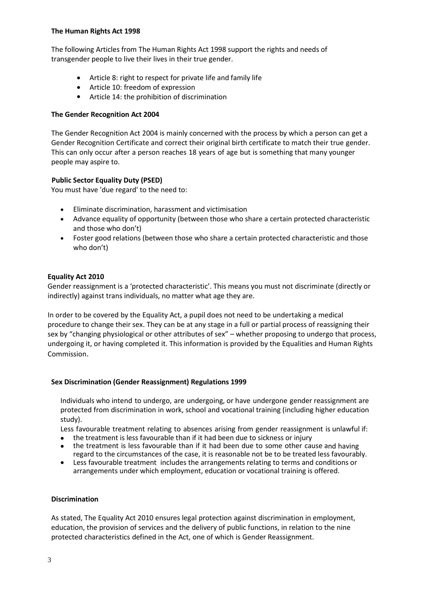## **The Human Rights Act 1998**

The following Articles from The Human Rights Act 1998 support the rights and needs of transgender people to live their lives in their true gender.

- Article 8: right to respect for private life and family life
- Article 10: freedom of expression
- Article 14: the prohibition of discrimination

## **The Gender Recognition Act 2004**

The Gender Recognition Act 2004 is mainly concerned with the process by which a person can get a Gender Recognition Certificate and correct their original birth certificate to match their true gender. This can only occur after a person reaches 18 years of age but is something that many younger people may aspire to.

## **Public Sector Equality Duty (PSED)**

You must have 'due regard' to the need to:

- Eliminate discrimination, harassment and victimisation
- Advance equality of opportunity (between those who share a certain protected characteristic and those who don't)
- Foster good relations (between those who share a certain protected characteristic and those who don't)

## **Equality Act 2010**

Gender reassignment is a 'protected characteristic'. This means you must not discriminate (directly or indirectly) against trans individuals, no matter what age they are.

In order to be covered by the Equality Act, a pupil does not need to be undertaking a medical procedure to change their sex. They can be at any stage in a full or partial process of reassigning their sex by "changing physiological or other attributes of sex" – whether proposing to undergo that process, undergoing it, or having completed it. This information is provided by the [Equalities and Human Rights](https://www.equalityhumanrights.com/en/advice-and-guidance/gender-reassignment-discrimination#what)  [Commission](https://www.equalityhumanrights.com/en/advice-and-guidance/gender-reassignment-discrimination#what).

## **Sex Discrimination (Gender Reassignment) Regulations 1999**

Individuals who intend to undergo, are undergoing, or have undergone gender reassignment are protected from discrimination in work, school and vocational training (including higher education study).

Less favourable treatment relating to absences arising from gender reassignment is unlawful if:

- the treatment is less favourable than if it had been due to sickness or injury
- the treatment is less favourable than if it had been due to some other cause and having regard to the circumstances of the case, it is reasonable not be to be treated less favourably.
- Less favourable treatment includes the arrangements relating to terms and conditions or arrangements under which employment, education or vocational training is offered.

## **Discrimination**

As stated, The Equality Act 2010 ensures legal protection against discrimination in employment, education, the provision of services and the delivery of public functions, in relation to the nine protected characteristics defined in the Act, one of which is Gender Reassignment.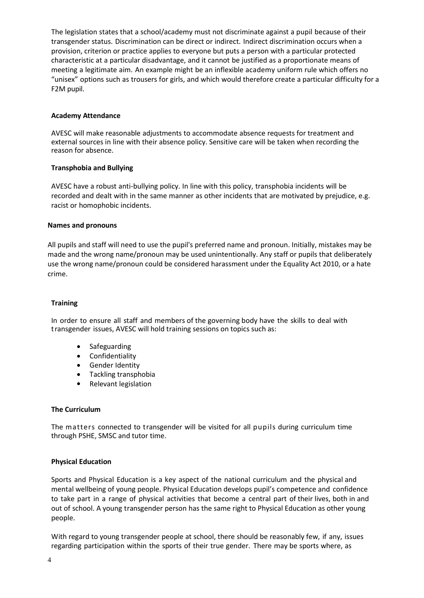The legislation states that a school/academy must not discriminate against a pupil because of their transgender status. Discrimination can be direct or indirect. Indirect discrimination occurs when a provision, criterion or practice applies to everyone but puts a person with a particular protected characteristic at a particular disadvantage, and it cannot be justified as a proportionate means of meeting a legitimate aim. An example might be an inflexible academy uniform rule which offers no "unisex" options such as trousers for girls, and which would therefore create a particular difficulty for a F2M pupil.

## **Academy Attendance**

AVESC will make reasonable adjustments to accommodate absence requests for treatment and external sources in line with their absence policy. Sensitive care will be taken when recording the reason for absence.

## **Transphobia and Bullying**

AVESC have a robust anti-bullying policy. In line with this policy, transphobia incidents will be recorded and dealt with in the same manner as other incidents that are motivated by prejudice, e.g. racist or homophobic incidents.

## **Names and pronouns**

All pupils and staff will need to use the pupil's preferred name and pronoun. Initially, mistakes may be made and the wrong name/pronoun may be used unintentionally. Any staff or pupils that deliberately use the wrong name/pronoun could be considered harassment under the Equality Act 2010, or a hate crime.

# **Training**

In order to ensure all staff and members of the governing body have the skills to deal with transgender issues, AVESC will hold training sessions on topics such as:

- **Safeguarding**
- Confidentiality
- Gender Identity
- Tackling transphobia
- Relevant legislation

## **The Curriculum**

The matters connected to transgender will be visited for all pupils during curriculum time through PSHE, SMSC and tutor time.

## **Physical Education**

Sports and Physical Education is a key aspect of the national curriculum and the physical and mental wellbeing of young people. Physical Education develops pupil's competence and confidence to take part in a range of physical activities that become a central part of their lives, both in and out of school. A young transgender person has the same right to Physical Education as other young people.

With regard to young transgender people at school, there should be reasonably few, if any, issues regarding participation within the sports of their true gender. There may be sports where, as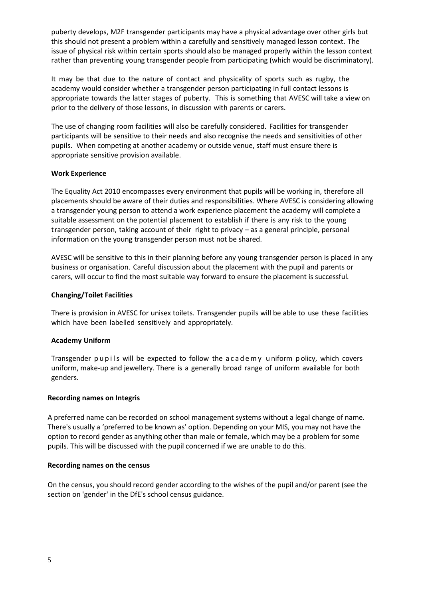puberty develops, M2F transgender participants may have a physical advantage over other girls but this should not present a problem within a carefully and sensitively managed lesson context. The issue of physical risk within certain sports should also be managed properly within the lesson context rather than preventing young transgender people from participating (which would be discriminatory).

It may be that due to the nature of contact and physicality of sports such as rugby, the academy would consider whether a transgender person participating in full contact lessons is appropriate towards the latter stages of puberty. This is something that AVESC will take a view on prior to the delivery of those lessons, in discussion with parents or carers.

The use of changing room facilities will also be carefully considered. Facilities for transgender participants will be sensitive to their needs and also recognise the needs and sensitivities of other pupils. When competing at another academy or outside venue, staff must ensure there is appropriate sensitive provision available.

## **Work Experience**

The Equality Act 2010 encompasses every environment that pupils will be working in, therefore all placements should be aware of their duties and responsibilities. Where AVESC is considering allowing a transgender young person to attend a work experience placement the academy will complete a suitable assessment on the potential placement to establish if there is any risk to the young transgender person, taking account of their right to privacy – as a general principle, personal information on the young transgender person must not be shared.

AVESC will be sensitive to this in their planning before any young transgender person is placed in any business or organisation. Careful discussion about the placement with the pupil and parents or carers, will occur to find the most suitable way forward to ensure the placement is successful.

# **Changing/Toilet Facilities**

There is provision in AVESC for unisex toilets. Transgender pupils will be able to use these facilities which have been labelled sensitively and appropriately.

# **Academy Uniform**

Transgender pupils will be expected to follow the a c a d e m y u niform policy, which covers uniform, make-up and jewellery. There is a generally broad range of uniform available for both genders.

## **Recording names on Integris**

A preferred name can be recorded on school management systems without a legal change of name. There's usually a 'preferred to be known as' option. Depending on your MIS, you may not have the option to record gender as anything other than male or female, which may be a problem for some pupils. This will be discussed with the pupil concerned if we are unable to do this.

## **Recording names on the census**

On the census, you should record gender according to the wishes of the pupil and/or parent (see the section on 'gender' in the DfE's [school census guidance.](https://www.gov.uk/guidance/complete-the-school-census/data-items)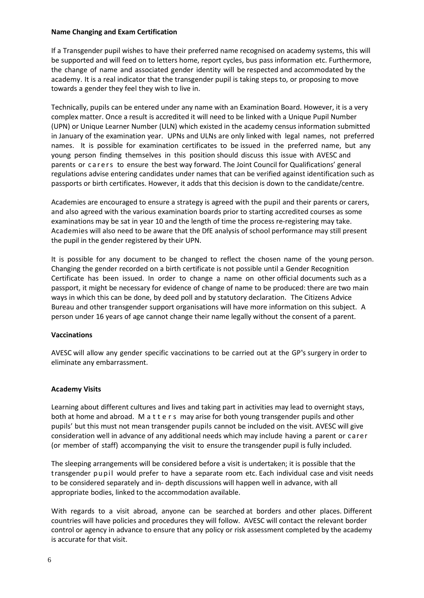## **Name Changing and Exam Certification**

If a Transgender pupil wishes to have their preferred name recognised on academy systems, this will be supported and will feed on to letters home, report cycles, bus pass information etc. Furthermore, the change of name and associated gender identity will be respected and accommodated by the academy. It is a real indicator that the transgender pupil is taking steps to, or proposing to move towards a gender they feel they wish to live in.

Technically, pupils can be entered under any name with an Examination Board. However, it is a very complex matter. Once a result is accredited it will need to be linked with a Unique Pupil Number (UPN) or Unique Learner Number (ULN) which existed in the academy census information submitted in January of the examination year. UPNs and ULNs are only linked with legal names, not preferred names. It is possible for examination certificates to be issued in the preferred name, but any young person finding themselves in this position should discuss this issue with AVESC and parents or carers to ensure the best way forward. The Joint Council for Qualifications' general [regulations](https://www.jcq.org.uk/exams-office/general-regulations/) advise entering candidates under names that can be verified against identification such as passports or birth certificates. However, it adds that this decision is down to the candidate/centre.

Academies are encouraged to ensure a strategy is agreed with the pupil and their parents or carers, and also agreed with the various examination boards prior to starting accredited courses as some examinations may be sat in year 10 and the length of time the process re-registering may take. Academies will also need to be aware that the DfE analysis of school performance may still present the pupil in the gender registered by their UPN.

It is possible for any document to be changed to reflect the chosen name of the young person. Changing the gender recorded on a birth certificate is not possible until a Gender Recognition Certificate has been issued. In order to change a name on other official documents such as a passport, it might be necessary for evidence of change of name to be produced: there are two main ways in which this can be done, by deed poll and by statutory declaration. The Citizens Advice Bureau and other transgender support organisations will have more information on this subject. A person under 16 years of age cannot change their name legally without the consent of a parent.

# **Vaccinations**

AVESC will allow any gender specific vaccinations to be carried out at the GP"s surgery in order to eliminate any embarrassment.

# **Academy Visits**

Learning about different cultures and lives and taking part in activities may lead to overnight stays, both at home and abroad. M a t t e r s may arise for both young transgender pupils and other pupils' but this must not mean transgender pupils cannot be included on the visit. AVESC will give consideration well in advance of any additional needs which may include having a parent or carer (or member of staff) accompanying the visit to ensure the transgender pupil is fully included.

The sleeping arrangements will be considered before a visit is undertaken; it is possible that the transgender pupil would prefer to have a separate room etc. Each individual case and visit needs to be considered separately and in- depth discussions will happen well in advance, with all appropriate bodies, linked to the accommodation available.

With regards to a visit abroad, anyone can be searched at borders and other places. Different countries will have policies and procedures they will follow. AVESC will contact the relevant border control or agency in advance to ensure that any policy or risk assessment completed by the academy is accurate for that visit.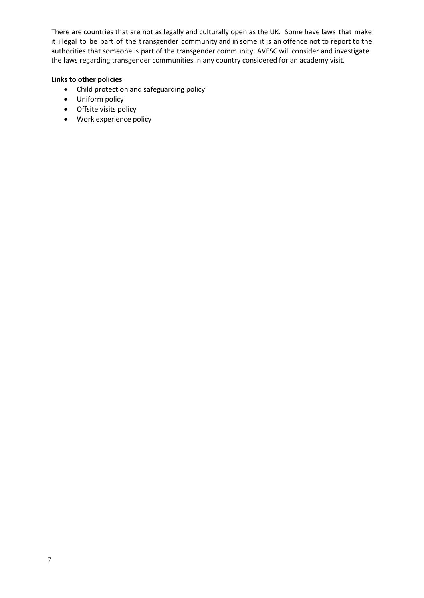There are countries that are not as legally and culturally open as the UK. Some have laws that make it illegal to be part of the transgender community and in some it is an offence not to report to the authorities that someone is part of the transgender community. AVESC will consider and investigate the laws regarding transgender communities in any country considered for an academy visit.

# **Links to other policies**

- Child protection and safeguarding policy
- Uniform policy
- Offsite visits policy
- Work experience policy